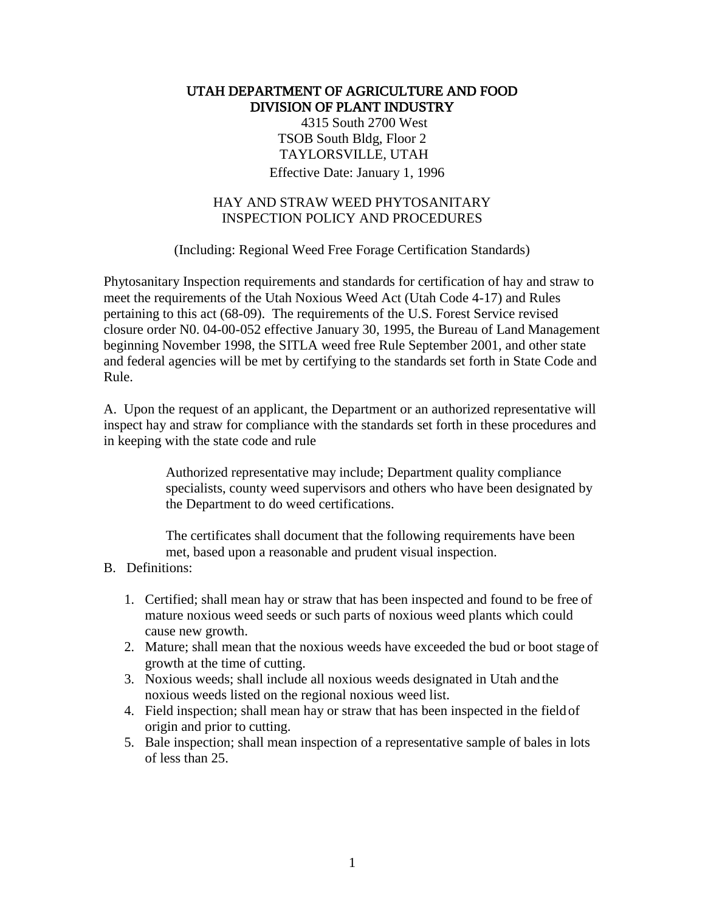## UTAH DEPARTMENT OF AGRICULTURE AND FOOD DIVISION OF PLANT INDUSTRY

4315 South 2700 West TSOB South Bldg, Floor 2 TAYLORSVILLE, UTAH Effective Date: January 1, 1996

## HAY AND STRAW WEED PHYTOSANITARY INSPECTION POLICY AND PROCEDURES

(Including: Regional Weed Free Forage Certification Standards)

Phytosanitary Inspection requirements and standards for certification of hay and straw to meet the requirements of the Utah Noxious Weed Act (Utah Code 4-17) and Rules pertaining to this act (68-09). The requirements of the U.S. Forest Service revised closure order N0. 04-00-052 effective January 30, 1995, the Bureau of Land Management beginning November 1998, the SITLA weed free Rule September 2001, and other state and federal agencies will be met by certifying to the standards set forth in State Code and Rule.

A. Upon the request of an applicant, the Department or an authorized representative will inspect hay and straw for compliance with the standards set forth in these procedures and in keeping with the state code and rule

> Authorized representative may include; Department quality compliance specialists, county weed supervisors and others who have been designated by the Department to do weed certifications.

The certificates shall document that the following requirements have been met, based upon a reasonable and prudent visual inspection.

#### B. Definitions:

- 1. Certified; shall mean hay or straw that has been inspected and found to be free of mature noxious weed seeds or such parts of noxious weed plants which could cause new growth.
- 2. Mature; shall mean that the noxious weeds have exceeded the bud or boot stage of growth at the time of cutting.
- 3. Noxious weeds; shall include all noxious weeds designated in Utah andthe noxious weeds listed on the regional noxious weed list.
- 4. Field inspection; shall mean hay or straw that has been inspected in the field of origin and prior to cutting.
- 5. Bale inspection; shall mean inspection of a representative sample of bales in lots of less than 25.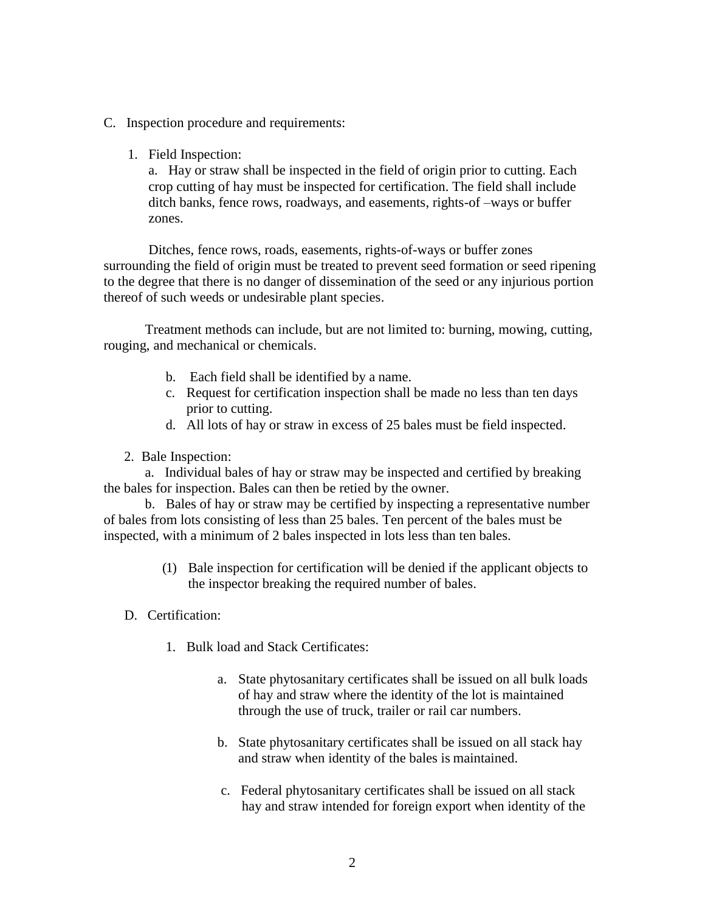- C. Inspection procedure and requirements:
	- 1. Field Inspection:

a. Hay or straw shall be inspected in the field of origin prior to cutting. Each crop cutting of hay must be inspected for certification. The field shall include ditch banks, fence rows, roadways, and easements, rights-of –ways or buffer zones.

Ditches, fence rows, roads, easements, rights-of-ways or buffer zones surrounding the field of origin must be treated to prevent seed formation or seed ripening to the degree that there is no danger of dissemination of the seed or any injurious portion thereof of such weeds or undesirable plant species.

Treatment methods can include, but are not limited to: burning, mowing, cutting, rouging, and mechanical or chemicals.

- b. Each field shall be identified by a name.
- c. Request for certification inspection shall be made no less than ten days prior to cutting.
- d. All lots of hay or straw in excess of 25 bales must be field inspected.
- 2. Bale Inspection:

a. Individual bales of hay or straw may be inspected and certified by breaking the bales for inspection. Bales can then be retied by the owner.

b. Bales of hay or straw may be certified by inspecting a representative number of bales from lots consisting of less than 25 bales. Ten percent of the bales must be inspected, with a minimum of 2 bales inspected in lots less than ten bales.

- (1) Bale inspection for certification will be denied if the applicant objects to the inspector breaking the required number of bales.
- D. Certification:
	- 1. Bulk load and Stack Certificates:
		- a. State phytosanitary certificates shall be issued on all bulk loads of hay and straw where the identity of the lot is maintained through the use of truck, trailer or rail car numbers.
		- b. State phytosanitary certificates shall be issued on all stack hay and straw when identity of the bales is maintained.
		- c. Federal phytosanitary certificates shall be issued on all stack hay and straw intended for foreign export when identity of the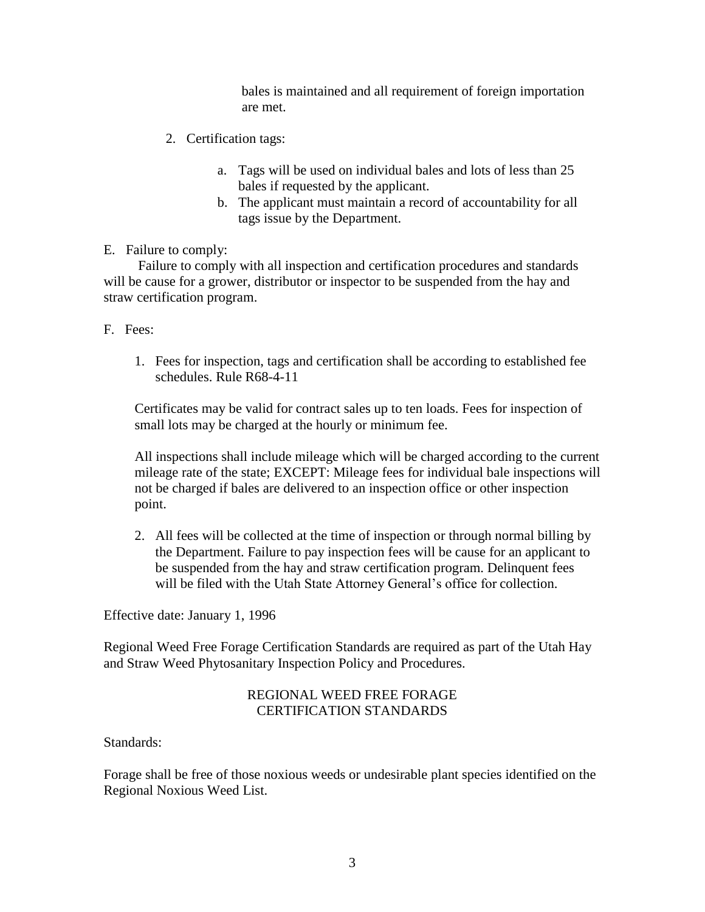bales is maintained and all requirement of foreign importation are met.

- 2. Certification tags:
	- a. Tags will be used on individual bales and lots of less than 25 bales if requested by the applicant.
	- b. The applicant must maintain a record of accountability for all tags issue by the Department.

#### E. Failure to comply:

Failure to comply with all inspection and certification procedures and standards will be cause for a grower, distributor or inspector to be suspended from the hay and straw certification program.

## F. Fees:

1. Fees for inspection, tags and certification shall be according to established fee schedules. Rule R68-4-11

Certificates may be valid for contract sales up to ten loads. Fees for inspection of small lots may be charged at the hourly or minimum fee.

All inspections shall include mileage which will be charged according to the current mileage rate of the state; EXCEPT: Mileage fees for individual bale inspections will not be charged if bales are delivered to an inspection office or other inspection point.

2. All fees will be collected at the time of inspection or through normal billing by the Department. Failure to pay inspection fees will be cause for an applicant to be suspended from the hay and straw certification program. Delinquent fees will be filed with the Utah State Attorney General's office for collection.

Effective date: January 1, 1996

Regional Weed Free Forage Certification Standards are required as part of the Utah Hay and Straw Weed Phytosanitary Inspection Policy and Procedures.

# REGIONAL WEED FREE FORAGE CERTIFICATION STANDARDS

#### Standards:

Forage shall be free of those noxious weeds or undesirable plant species identified on the Regional Noxious Weed List.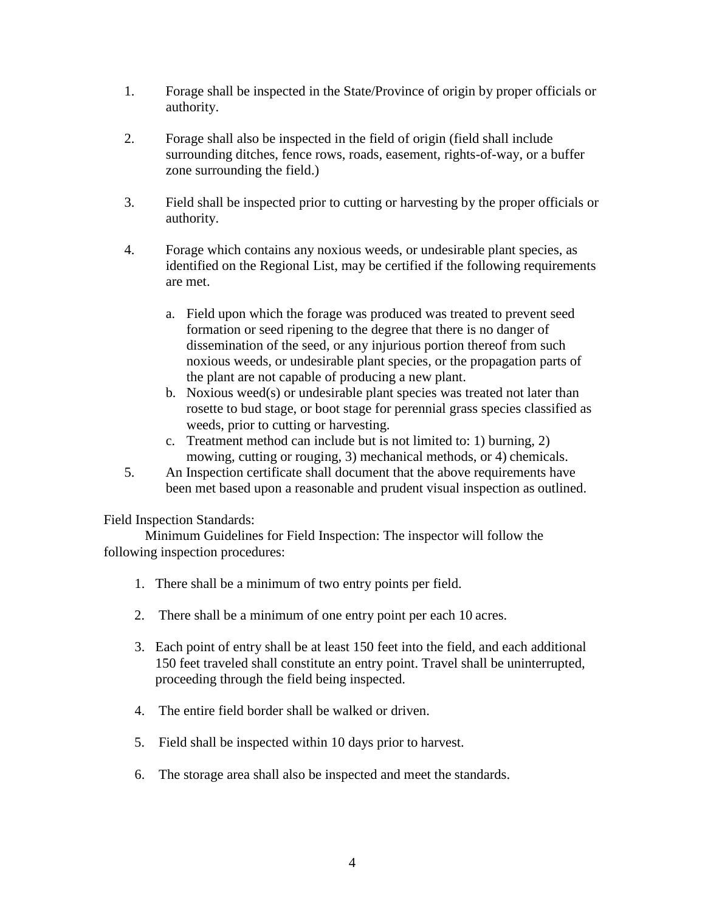- 1. Forage shall be inspected in the State/Province of origin by proper officials or authority.
- 2. Forage shall also be inspected in the field of origin (field shall include surrounding ditches, fence rows, roads, easement, rights-of-way, or a buffer zone surrounding the field.)
- 3. Field shall be inspected prior to cutting or harvesting by the proper officials or authority.
- 4. Forage which contains any noxious weeds, or undesirable plant species, as identified on the Regional List, may be certified if the following requirements are met.
	- a. Field upon which the forage was produced was treated to prevent seed formation or seed ripening to the degree that there is no danger of dissemination of the seed, or any injurious portion thereof from such noxious weeds, or undesirable plant species, or the propagation parts of the plant are not capable of producing a new plant.
	- b. Noxious weed(s) or undesirable plant species was treated not later than rosette to bud stage, or boot stage for perennial grass species classified as weeds, prior to cutting or harvesting.
	- c. Treatment method can include but is not limited to: 1) burning, 2) mowing, cutting or rouging, 3) mechanical methods, or 4) chemicals.
- 5. An Inspection certificate shall document that the above requirements have been met based upon a reasonable and prudent visual inspection as outlined.

Field Inspection Standards:

Minimum Guidelines for Field Inspection: The inspector will follow the following inspection procedures:

- 1. There shall be a minimum of two entry points per field.
- 2. There shall be a minimum of one entry point per each 10 acres.
- 3. Each point of entry shall be at least 150 feet into the field, and each additional 150 feet traveled shall constitute an entry point. Travel shall be uninterrupted, proceeding through the field being inspected.
- 4. The entire field border shall be walked or driven.
- 5. Field shall be inspected within 10 days prior to harvest.
- 6. The storage area shall also be inspected and meet the standards.